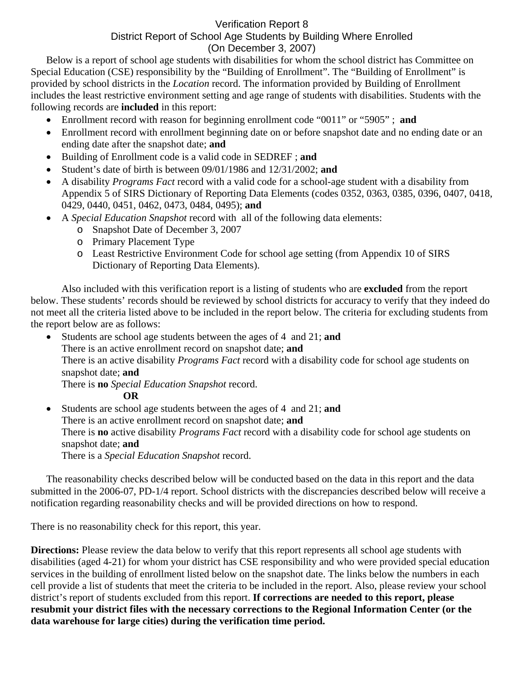## Verification Report 8

## District Report of School Age Students by Building Where Enrolled (On December 3, 2007)

Below is a report of school age students with disabilities for whom the school district has Committee on Special Education (CSE) responsibility by the "Building of Enrollment". The "Building of Enrollment" is provided by school districts in the *Location* record. The information provided by Building of Enrollment includes the least restrictive environment setting and age range of students with disabilities. Students with the following records are **included** in this report:

- Enrollment record with reason for beginning enrollment code "0011" or "5905" ; **and**
- Enrollment record with enrollment beginning date on or before snapshot date and no ending date or an ending date after the snapshot date; **and**
- Building of Enrollment code is a valid code in SEDREF ; **and**
- Student's date of birth is between 09/01/1986 and 12/31/2002; **and**
- A disability *Programs Fact* record with a valid code for a school-age student with a disability from Appendix 5 of SIRS Dictionary of Reporting Data Elements (codes 0352, 0363, 0385, 0396, 0407, 0418, 0429, 0440, 0451, 0462, 0473, 0484, 0495); **and**
- A *Special Education Snapshot* record with all of the following data elements:
	- o Snapshot Date of December 3, 2007
	- o Primary Placement Type
	- o Least Restrictive Environment Code for school age setting (from Appendix 10 of SIRS Dictionary of Reporting Data Elements).

Also included with this verification report is a listing of students who are **excluded** from the report below. These students' records should be reviewed by school districts for accuracy to verify that they indeed do not meet all the criteria listed above to be included in the report below. The criteria for excluding students from the report below are as follows:

• Students are school age students between the ages of 4 and 21; **and** There is an active enrollment record on snapshot date; **and** There is an active disability *Programs Fact* record with a disability code for school age students on snapshot date; **and**  There is **no** *Special Education Snapshot* record. **OR** 

• Students are school age students between the ages of 4 and 21; **and**  There is an active enrollment record on snapshot date; **and** There is **no** active disability *Programs Fact* record with a disability code for school age students on snapshot date; **and**  There is a *Special Education Snapshot* record.

The reasonability checks described below will be conducted based on the data in this report and the data submitted in the 2006-07, PD-1/4 report. School districts with the discrepancies described below will receive a notification regarding reasonability checks and will be provided directions on how to respond.

There is no reasonability check for this report, this year.

**Directions:** Please review the data below to verify that this report represents all school age students with disabilities (aged 4-21) for whom your district has CSE responsibility and who were provided special education services in the building of enrollment listed below on the snapshot date. The links below the numbers in each cell provide a list of students that meet the criteria to be included in the report. Also, please review your school district's report of students excluded from this report. **If corrections are needed to this report, please resubmit your district files with the necessary corrections to the Regional Information Center (or the data warehouse for large cities) during the verification time period.**